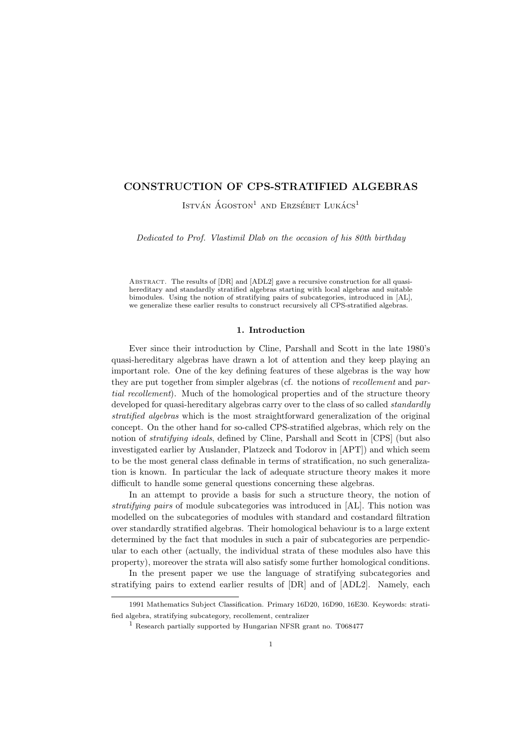# CONSTRUCTION OF CPS-STRATIFIED ALGEBRAS

István Ágoston<sup>1</sup> and Erzsébet Lukács<sup>1</sup>

Dedicated to Prof. Vlastimil Dlab on the occasion of his 80th birthday

ABSTRACT. The results of [DR] and [ADL2] gave a recursive construction for all quasihereditary and standardly stratified algebras starting with local algebras and suitable bimodules. Using the notion of stratifying pairs of subcategories, introduced in [AL], we generalize these earlier results to construct recursively all CPS-stratified algebras.

#### 1. Introduction

Ever since their introduction by Cline, Parshall and Scott in the late 1980's quasi-hereditary algebras have drawn a lot of attention and they keep playing an important role. One of the key defining features of these algebras is the way how they are put together from simpler algebras (cf. the notions of recollement and partial recollement). Much of the homological properties and of the structure theory developed for quasi-hereditary algebras carry over to the class of so called *standardly* stratified algebras which is the most straightforward generalization of the original concept. On the other hand for so-called CPS-stratified algebras, which rely on the notion of stratifying ideals, defined by Cline, Parshall and Scott in [CPS] (but also investigated earlier by Auslander, Platzeck and Todorov in [APT]) and which seem to be the most general class definable in terms of stratification, no such generalization is known. In particular the lack of adequate structure theory makes it more difficult to handle some general questions concerning these algebras.

In an attempt to provide a basis for such a structure theory, the notion of stratifying pairs of module subcategories was introduced in [AL]. This notion was modelled on the subcategories of modules with standard and costandard filtration over standardly stratified algebras. Their homological behaviour is to a large extent determined by the fact that modules in such a pair of subcategories are perpendicular to each other (actually, the individual strata of these modules also have this property), moreover the strata will also satisfy some further homological conditions.

In the present paper we use the language of stratifying subcategories and stratifying pairs to extend earlier results of [DR] and of [ADL2]. Namely, each

<sup>1991</sup> Mathematics Subject Classification. Primary 16D20, 16D90, 16E30. Keywords: stratified algebra, stratifying subcategory, recollement, centralizer

<sup>&</sup>lt;sup>1</sup> Research partially supported by Hungarian NFSR grant no. T068477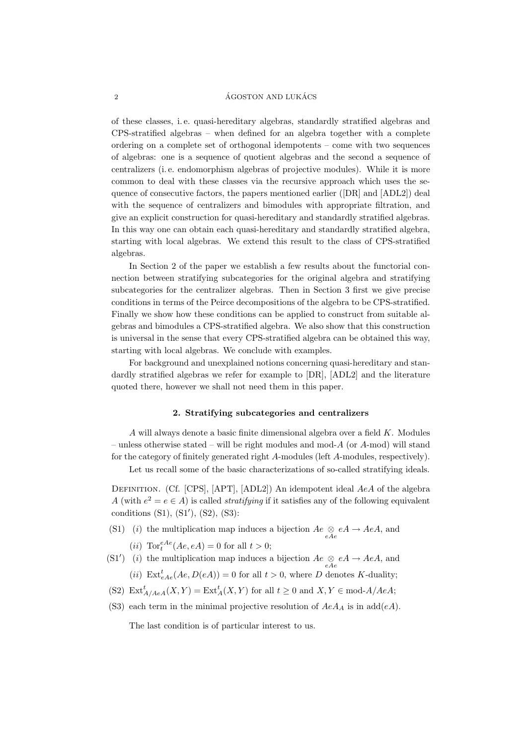## $\Lambda$ GOSTON AND LUKÁCS

of these classes, i. e. quasi-hereditary algebras, standardly stratified algebras and CPS-stratified algebras – when defined for an algebra together with a complete ordering on a complete set of orthogonal idempotents – come with two sequences of algebras: one is a sequence of quotient algebras and the second a sequence of centralizers (i. e. endomorphism algebras of projective modules). While it is more common to deal with these classes via the recursive approach which uses the sequence of consecutive factors, the papers mentioned earlier ([DR] and [ADL2]) deal with the sequence of centralizers and bimodules with appropriate filtration, and give an explicit construction for quasi-hereditary and standardly stratified algebras. In this way one can obtain each quasi-hereditary and standardly stratified algebra, starting with local algebras. We extend this result to the class of CPS-stratified algebras.

In Section 2 of the paper we establish a few results about the functorial connection between stratifying subcategories for the original algebra and stratifying subcategories for the centralizer algebras. Then in Section 3 first we give precise conditions in terms of the Peirce decompositions of the algebra to be CPS-stratified. Finally we show how these conditions can be applied to construct from suitable algebras and bimodules a CPS-stratified algebra. We also show that this construction is universal in the sense that every CPS-stratified algebra can be obtained this way, starting with local algebras. We conclude with examples.

For background and unexplained notions concerning quasi-hereditary and standardly stratified algebras we refer for example to [DR], [ADL2] and the literature quoted there, however we shall not need them in this paper.

## 2. Stratifying subcategories and centralizers

A will always denote a basic finite dimensional algebra over a field K. Modules – unless otherwise stated – will be right modules and mod- $A$  (or  $A$ -mod) will stand for the category of finitely generated right A-modules (left A-modules, respectively).

Let us recall some of the basic characterizations of so-called stratifying ideals.

DEFINITION. (Cf.  $[CPS]$ ,  $[APT]$ ,  $[ADL2]$ ) An idempotent ideal AeA of the algebra A (with  $e^2 = e \in A$ ) is called *stratifying* if it satisfies any of the following equivalent conditions  $(S1)$ ,  $(S1')$ ,  $(S2)$ ,  $(S3)$ :

- (S1) (*i*) the multiplication map induces a bijection  $Ae \underset{eAe}{\otimes} eA \rightarrow AeA$ , and (*ii*)  $\text{Tor}_t^{eAe}(Ae, eA) = 0$  for all  $t > 0$ ;
- (S1') (i) the multiplication map induces a bijection  $Ae \underset{eAe}{\otimes} eA \rightarrow AeA$ , and (*ii*)  $\text{Ext}_{eAe}^{t}(Ae, D(eA)) = 0$  for all  $t > 0$ , where D denotes K-duality;
- (S2)  $\text{Ext}^t_{A/AeA}(X,Y) = \text{Ext}^t_A(X,Y)$  for all  $t \geq 0$  and  $X, Y \in \text{mod-}A/AeA;$
- (S3) each term in the minimal projective resolution of  $AeA_A$  is in  $add(eA)$ .

The last condition is of particular interest to us.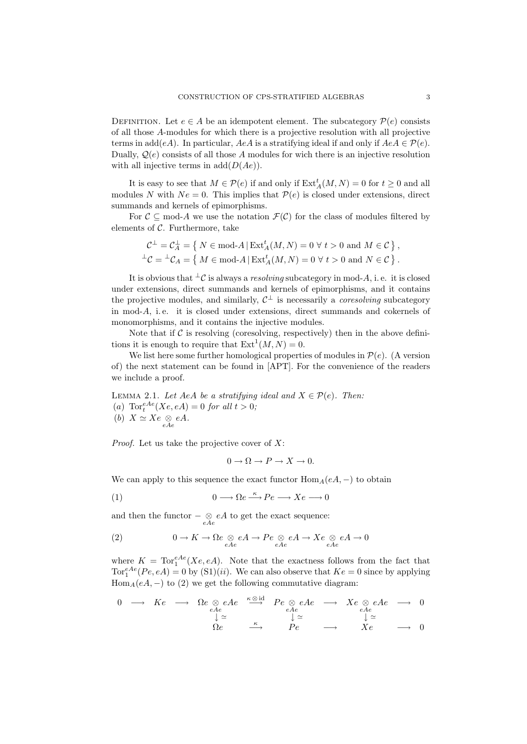DEFINITION. Let  $e \in A$  be an idempotent element. The subcategory  $\mathcal{P}(e)$  consists of all those A-modules for which there is a projective resolution with all projective terms in add(eA). In particular, AeA is a stratifying ideal if and only if  $AeA \in \mathcal{P}(e)$ . Dually,  $Q(e)$  consists of all those A modules for wich there is an injective resolution with all injective terms in  $add(D(Ae)).$ 

It is easy to see that  $M \in \mathcal{P}(e)$  if and only if  $\text{Ext}_{A}^{t}(M, N) = 0$  for  $t \geq 0$  and all modules N with  $Ne = 0$ . This implies that  $P(e)$  is closed under extensions, direct summands and kernels of epimorphisms.

For  $\mathcal{C} \subseteq \text{mod-}A$  we use the notation  $\mathcal{F}(\mathcal{C})$  for the class of modules filtered by elements of  $C$ . Furthermore, take

$$
\mathcal{C}^{\perp} = \mathcal{C}^{\perp}_A = \left\{ \left. N \in \text{mod-}A \, | \, \mathrm{Ext}^t_A(M,N) = 0 \; \forall \; t > 0 \text{ and } M \in \mathcal{C} \right. \right\},
$$
  

$$
{}^{\perp}\mathcal{C} = {}^{\perp}\mathcal{C}_A = \left\{ \left. M \in \text{mod-}A \, | \, \mathrm{Ext}^t_A(M,N) = 0 \; \forall \; t > 0 \text{ and } N \in \mathcal{C} \right. \right\}.
$$

It is obvious that  $\pm \mathcal{C}$  is always a resolving subcategory in mod-A, i.e. it is closed under extensions, direct summands and kernels of epimorphisms, and it contains the projective modules, and similarly,  $\mathcal{C}^{\perp}$  is necessarily a *coresolving* subcategory in mod-A, i. e. it is closed under extensions, direct summands and cokernels of monomorphisms, and it contains the injective modules.

Note that if  $C$  is resolving (coresolving, respectively) then in the above definitions it is enough to require that  $Ext<sup>1</sup>(M, N) = 0$ .

We list here some further homological properties of modules in  $\mathcal{P}(e)$ . (A version of) the next statement can be found in [APT]. For the convenience of the readers we include a proof.

LEMMA 2.1. Let AeA be a stratifying ideal and  $X \in \mathcal{P}(e)$ . Then: (a)  $\text{Tor}_t^{eAe}(Xe, eA) = 0$  for all  $t > 0$ ; (b)  $X \simeq Xe \underset{eAe}{\otimes} eA.$ 

*Proof.* Let us take the projective cover of  $X$ :

$$
0 \to \Omega \to P \to X \to 0.
$$

We can apply to this sequence the exact functor  $\text{Hom}_A(eA, -)$  to obtain

(1) 
$$
0 \longrightarrow \Omega e \stackrel{\kappa}{\longrightarrow} Pe \longrightarrow Xe \longrightarrow 0
$$

and then the functor  $-\underset{eAe}{\otimes}eA$  to get the exact sequence:

(2) 
$$
0 \to K \to \Omega e \underset{eAe}{\otimes} eA \to Pe \underset{eAe}{\otimes} eA \to Xe \underset{eAe}{\otimes} eA \to 0
$$

where  $K = \text{Tor}_1^{eAe}(Xe, eA)$ . Note that the exactness follows from the fact that To  $f_1^{eAe}(Pe, eA) = 0$  by  $(S1)(ii)$ . We can also observe that  $Ke = 0$  since by applying  $\text{Hom}_{A}(eA, -)$  to (2) we get the following commutative diagram:

$$
\begin{array}{ccccccc}\n0 & \longrightarrow & Ke & \longrightarrow & \Omega e \underset{eAe}{\otimes} eAe & \stackrel{\kappa \otimes id}{\longrightarrow} & Pe \underset{eAe}{\otimes} eAe & \longrightarrow & Xe \underset{eAe}{\otimes} eAe & \longrightarrow & 0 \\
& & \downarrow \simeq & & \downarrow \simeq & & \downarrow \simeq & & \downarrow \simeq & & \\
& & \Omega e & \stackrel{\kappa}{\longrightarrow} & Pe & \longrightarrow & Xe & \longrightarrow & 0\n\end{array}
$$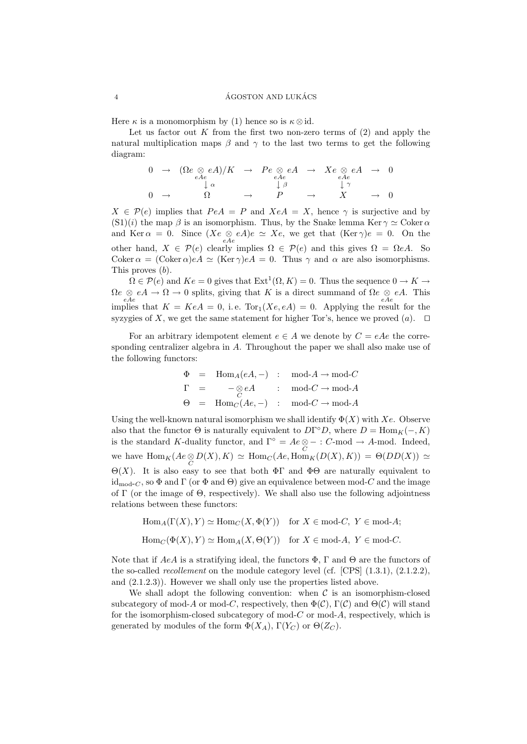Here  $\kappa$  is a monomorphism by (1) hence so is  $\kappa \otimes id$ .

Let us factor out K from the first two non-zero terms of  $(2)$  and apply the natural multiplication maps  $\beta$  and  $\gamma$  to the last two terms to get the following diagram:

$$
\begin{array}{ccccccc}\n0 & \rightarrow & (\Omega e \underset{eAe}{\otimes} eA)/K & \rightarrow & Pe \underset{eAe}{\otimes} eA & \rightarrow & Xe \underset{eAe}{\otimes} eA & \rightarrow & 0 \\
& & \downarrow \alpha & & \downarrow \beta & & \downarrow \gamma \\
0 & \rightarrow & & \Omega & & \rightarrow & P & \rightarrow & X & \rightarrow & 0\n\end{array}
$$

 $X \in \mathcal{P}(e)$  implies that  $PeA = P$  and  $XeA = X$ , hence  $\gamma$  is surjective and by  $(S1)(i)$  the map  $\beta$  is an isomorphism. Thus, by the Snake lemma Ker  $\gamma \simeq \text{Coker }\alpha$ and Ker  $\alpha = 0$ . Since  $(Xe \underset{eAe}{\otimes} eA)e \simeq Xe$ , we get that  $(\text{Ker }\gamma)e = 0$ . On the other hand,  $X \in \mathcal{P}(e)$  clearly implies  $\Omega \in \mathcal{P}(e)$  and this gives  $\Omega = \Omega eA$ . So Coker  $\alpha = (\text{Coker }\alpha)eA \simeq (\text{Ker }\gamma)eA = 0$ . Thus  $\gamma$  and  $\alpha$  are also isomorphisms. This proves (b).

 $\Omega \in \mathcal{P}(e)$  and  $Ke = 0$  gives that  $\text{Ext}^1(\Omega, K) = 0$ . Thus the sequence  $0 \to K \to$  $\Omega e \otimes eA \to \Omega \to 0$  splits, giving that K is a direct summand of  $\Omega e \otimes eA$ . This  $eAe$ implies that  $K = KeA = 0$ , i.e.  $Tor_1(Xe, eA) = 0$ . Applying the result for the syzygies of X, we get the same statement for higher Tor's, hence we proved  $(a)$ .  $\Box$ 

For an arbitrary idempotent element  $e \in A$  we denote by  $C = eAe$  the corresponding centralizer algebra in A. Throughout the paper we shall also make use of the following functors:

$$
\begin{array}{lclcl} \Phi & = & \operatorname{Hom}_{A}(eA,-) & : & \operatorname{mod-}A \rightarrow \operatorname{mod-}C \\ \Gamma & = & -\otimes eA & : & \operatorname{mod-}C \rightarrow \operatorname{mod-}A \\ \Theta & = & \operatorname{Hom}_{C}(Ae,-) & : & \operatorname{mod-}C \rightarrow \operatorname{mod-}A \end{array}
$$

Using the well-known natural isomorphism we shall identify  $\Phi(X)$  with Xe. Observe also that the functor  $\Theta$  is naturally equivalent to  $D\Gamma^{\circ}D$ , where  $D = \text{Hom}_K(-, K)$ is the standard K-duality functor, and  $\Gamma^{\circ} = Ae \underset{C}{\otimes} - : C$ -mod  $\rightarrow A$ -mod. Indeed, we have  $\text{Hom}_K(Ae \otimes D(X), K) \simeq \text{Hom}_C(Ae, \text{Hom}_K(D(X), K)) = \Theta(DD(X)) \simeq$ Θ(X). It is also easy to see that both ΦΓ and ΦΘ are naturally equivalent to id<sub>mod-C</sub>, so  $\Phi$  and  $\Gamma$  (or  $\Phi$  and  $\Theta$ ) give an equivalence between mod-C and the image of  $\Gamma$  (or the image of  $\Theta$ , respectively). We shall also use the following adjointness relations between these functors:

 $\text{Hom}_A(\Gamma(X), Y) \simeq \text{Hom}_C(X, \Phi(Y))$  for  $X \in \text{mod-}C$ ,  $Y \in \text{mod-}A$ ;  $\text{Hom}_{C}(\Phi(X), Y) \simeq \text{Hom}_{A}(X, \Theta(Y))$  for  $X \in \text{mod-}A$ ,  $Y \in \text{mod-}C$ .

Note that if  $AeA$  is a stratifying ideal, the functors  $\Phi$ ,  $\Gamma$  and  $\Theta$  are the functors of the so-called recollement on the module category level (cf. [CPS] (1.3.1), (2.1.2.2), and (2.1.2.3)). However we shall only use the properties listed above.

We shall adopt the following convention: when  $\mathcal C$  is an isomorphism-closed subcategory of mod-A or mod-C, respectively, then  $\Phi(\mathcal{C})$ ,  $\Gamma(\mathcal{C})$  and  $\Theta(\mathcal{C})$  will stand for the isomorphism-closed subcategory of mod-C or mod-A, respectively, which is generated by modules of the form  $\Phi(X_A)$ ,  $\Gamma(Y_C)$  or  $\Theta(Z_C)$ .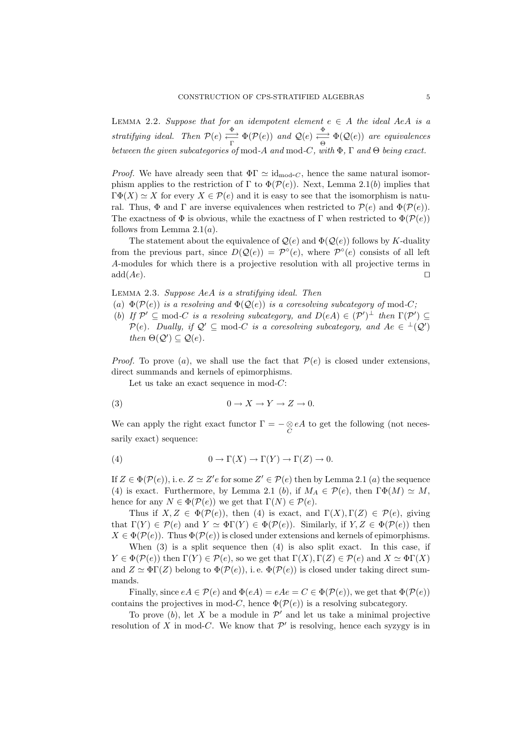LEMMA 2.2. Suppose that for an idempotent element  $e \in A$  the ideal AeA is a stratifying ideal. Then  $\mathcal{P}(e) \stackrel{\Phi}{\rightleftharpoons} \Phi(\mathcal{P}(e))$  and  $\mathcal{Q}(e) \stackrel{\Phi}{\rightleftharpoons} \Phi(\mathcal{Q}(e))$  are equivalences between the given subcategories of mod-A and mod-C, with  $\Phi$ ,  $\Gamma$  and  $\Theta$  being exact.

*Proof.* We have already seen that  $\Phi \Gamma \simeq id_{\text{mod-}C}$ , hence the same natural isomorphism applies to the restriction of  $\Gamma$  to  $\Phi(\mathcal{P}(e))$ . Next, Lemma 2.1(b) implies that  $\Gamma \Phi(X) \simeq X$  for every  $X \in \mathcal{P}(e)$  and it is easy to see that the isomorphism is natural. Thus,  $\Phi$  and  $\Gamma$  are inverse equivalences when restricted to  $\mathcal{P}(e)$  and  $\Phi(\mathcal{P}(e))$ . The exactness of  $\Phi$  is obvious, while the exactness of  $\Gamma$  when restricted to  $\Phi(\mathcal{P}(e))$ follows from Lemma  $2.1(a)$ .

The statement about the equivalence of  $\mathcal{Q}(e)$  and  $\Phi(\mathcal{Q}(e))$  follows by K-duality from the previous part, since  $D(Q(e)) = \mathcal{P}^{\circ}(e)$ , where  $\mathcal{P}^{\circ}(e)$  consists of all left A-modules for which there is a projective resolution with all projective terms in  $add(Ae).$ 

Lemma 2.3. Suppose AeA is a stratifying ideal. Then

- (a)  $\Phi(\mathcal{P}(e))$  is a resolving and  $\Phi(\mathcal{Q}(e))$  is a coresolving subcategory of mod-C;
- (b) If  $\mathcal{P}' \subseteq \text{mod-}C$  is a resolving subcategory, and  $D(eA) \in (\mathcal{P}')^{\perp}$  then  $\Gamma(\mathcal{P}') \subseteq$  $\mathcal{P}(e)$ . Dually, if  $\mathcal{Q}' \subseteq \text{mod-}C$  is a coresolving subcategory, and  $Ae \in {}^{\perp}(\mathcal{Q}')$ then  $\Theta(\mathcal{Q}') \subseteq \mathcal{Q}(e)$ .

*Proof.* To prove (a), we shall use the fact that  $\mathcal{P}(e)$  is closed under extensions, direct summands and kernels of epimorphisms.

Let us take an exact sequence in mod- $C$ :

$$
(3) \t\t 0 \to X \to Y \to Z \to 0.
$$

We can apply the right exact functor  $\Gamma = -\underset{C}{\otimes}eA$  to get the following (not necessarily exact) sequence:

(4) 
$$
0 \to \Gamma(X) \to \Gamma(Y) \to \Gamma(Z) \to 0.
$$

If  $Z \in \Phi(\mathcal{P}(e)),$  i.e.  $Z \simeq Z'e$  for some  $Z' \in \mathcal{P}(e)$  then by Lemma 2.1 (*a*) the sequence (4) is exact. Furthermore, by Lemma 2.1 (b), if  $M_A \in \mathcal{P}(e)$ , then  $\Gamma \Phi(M) \simeq M$ , hence for any  $N \in \Phi(\mathcal{P}(e))$  we get that  $\Gamma(N) \in \mathcal{P}(e)$ .

Thus if  $X, Z \in \Phi(\mathcal{P}(e))$ , then (4) is exact, and  $\Gamma(X), \Gamma(Z) \in \mathcal{P}(e)$ , giving that  $\Gamma(Y) \in \mathcal{P}(e)$  and  $Y \simeq \Phi(\Gamma(Y) \in \Phi(\mathcal{P}(e))$ . Similarly, if  $Y, Z \in \Phi(\mathcal{P}(e))$  then  $X \in \Phi(\mathcal{P}(e))$ . Thus  $\Phi(\mathcal{P}(e))$  is closed under extensions and kernels of epimorphisms.

When  $(3)$  is a split sequence then  $(4)$  is also split exact. In this case, if  $Y \in \Phi(\mathcal{P}(e))$  then  $\Gamma(Y) \in \mathcal{P}(e)$ , so we get that  $\Gamma(X), \Gamma(Z) \in \mathcal{P}(e)$  and  $X \simeq \Phi \Gamma(X)$ and  $Z \simeq \Phi \Gamma(Z)$  belong to  $\Phi(\mathcal{P}(e))$ , i.e.  $\Phi(\mathcal{P}(e))$  is closed under taking direct summands.

Finally, since  $eA \in \mathcal{P}(e)$  and  $\Phi(eA) = eAe = C \in \Phi(\mathcal{P}(e))$ , we get that  $\Phi(\mathcal{P}(e))$ contains the projectives in mod-C, hence  $\Phi(\mathcal{P}(e))$  is a resolving subcategory.

To prove  $(b)$ , let X be a module in  $\mathcal{P}'$  and let us take a minimal projective resolution of X in mod-C. We know that  $\mathcal{P}'$  is resolving, hence each syzygy is in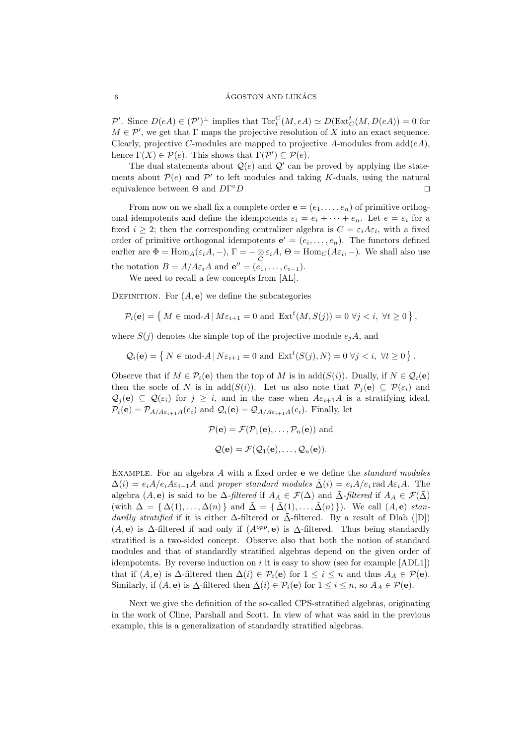P'. Since  $D(eA) \in (\mathcal{P}')^{\perp}$  implies that  $Tor_t^C(M, eA) \simeq D(\text{Ext}^t_C(M, D(eA)) = 0$  for  $M \in \mathcal{P}'$ , we get that  $\Gamma$  maps the projective resolution of X into an exact sequence. Clearly, projective C-modules are mapped to projective A-modules from  $add(eA)$ . hence  $\Gamma(X) \in \mathcal{P}(e)$ . This shows that  $\Gamma(\mathcal{P}') \subseteq \mathcal{P}(e)$ .

The dual statements about  $\mathcal{Q}(e)$  and  $\mathcal{Q}'$  can be proved by applying the statements about  $\mathcal{P}(e)$  and  $\mathcal{P}'$  to left modules and taking K-duals, using the natural equivalence between  $\Theta$  and  $D\Gamma^{\circ}D$  $\circ D$ 

From now on we shall fix a complete order  $\mathbf{e} = (e_1, \ldots, e_n)$  of primitive orthogonal idempotents and define the idempotents  $\varepsilon_i = e_i + \cdots + e_n$ . Let  $e = \varepsilon_i$  for a fixed  $i \geq 2$ ; then the corresponding centralizer algebra is  $C = \varepsilon_i A \varepsilon_i$ , with a fixed order of primitive orthogonal idempotents  $e' = (e_i, \ldots, e_n)$ . The functors defined earlier are  $\Phi = \text{Hom}_A(\varepsilon_i A, -), \Gamma = -\underset{C}{\otimes} \varepsilon_i A, \Theta = \text{Hom}_C(A\varepsilon_i, -).$  We shall also use the notation  $B = A/A\varepsilon_i A$  and  $\mathbf{e}'' = (e_1, \ldots, e_{i-1}).$ 

We need to recall a few concepts from [AL].

DEFINITION. For  $(A, e)$  we define the subcategories

$$
\mathcal{P}_i(\mathbf{e}) = \left\{ M \in \text{mod-}A \, | \, M\varepsilon_{i+1} = 0 \text{ and } \operatorname{Ext}^t(M, S(j)) = 0 \; \forall j < i, \; \forall t \ge 0 \right\},
$$

where  $S(j)$  denotes the simple top of the projective module  $e_iA$ , and

 $\mathcal{Q}_i(\mathbf{e}) = \{ N \in \text{mod-}A \mid N\varepsilon_{i+1} = 0 \text{ and } \text{Ext}^t(S(j), N) = 0 \ \forall j \leq i, \ \forall t \geq 0 \}.$ 

Observe that if  $M \in \mathcal{P}_i(\mathbf{e})$  then the top of M is in add( $S(i)$ ). Dually, if  $N \in \mathcal{Q}_i(\mathbf{e})$ then the socle of N is in add( $S(i)$ ). Let us also note that  $\mathcal{P}_j(\mathbf{e}) \subseteq \mathcal{P}(\varepsilon_i)$  and  $\mathcal{Q}_j(e) \subseteq \mathcal{Q}(\varepsilon_i)$  for  $j \geq i$ , and in the case when  $A\varepsilon_{i+1}A$  is a stratifying ideal,  $\mathcal{P}_i(\mathbf{e}) = \mathcal{P}_{A/A\varepsilon_{i+1}A}(e_i)$  and  $\mathcal{Q}_i(\mathbf{e}) = \mathcal{Q}_{A/A\varepsilon_{i+1}A}(e_i)$ . Finally, let

$$
\mathcal{P}(\mathbf{e}) = \mathcal{F}(\mathcal{P}_1(\mathbf{e}), \dots, \mathcal{P}_n(\mathbf{e})) \text{ and}
$$

$$
\mathcal{Q}(\mathbf{e}) = \mathcal{F}(\mathcal{Q}_1(\mathbf{e}), \dots, \mathcal{Q}_n(\mathbf{e})).
$$

EXAMPLE. For an algebra  $A$  with a fixed order  $e$  we define the *standard modules*  $\Delta(i) = e_i A/e_i A \varepsilon_{i+1} A$  and proper standard modules  $\bar{\Delta}(i) = e_i A/e_i$  rad  $A \varepsilon_i A$ . The algebra  $(A, e)$  is said to be  $\Delta$ -filtered if  $A_A \in \mathcal{F}(\Delta)$  and  $\overline{\Delta}$ -filtered if  $A_A \in \mathcal{F}(\overline{\Delta})$ (with  $\Delta = {\Delta(1), \ldots, \Delta(n)}$  and  $\bar{\Delta} = {\bar{\Delta}(1), \ldots, \bar{\Delta}(n)}$ ). We call  $(A, e)$  standardly stratified if it is either  $\Delta$ -filtered or  $\bar{\Delta}$ -filtered. By a result of Dlab ([D])  $(A, e)$  is  $\Delta$ -filtered if and only if  $(A^{opp}, e)$  is  $\overline{\Delta}$ -filtered. Thus being standardly stratified is a two-sided concept. Observe also that both the notion of standard modules and that of standardly stratified algebras depend on the given order of idempotents. By reverse induction on i it is easy to show (see for example  $[ADL1]$ ) that if  $(A, e)$  is  $\Delta$ -filtered then  $\Delta(i) \in \mathcal{P}_i(e)$  for  $1 \leq i \leq n$  and thus  $A_A \in \mathcal{P}(e)$ . Similarly, if  $(A, e)$  is  $\overline{\Delta}$ -filtered then  $\overline{\Delta}(i) \in \mathcal{P}_i(e)$  for  $1 \leq i \leq n$ , so  $A_A \in \mathcal{P}(e)$ .

Next we give the definition of the so-called CPS-stratified algebras, originating in the work of Cline, Parshall and Scott. In view of what was said in the previous example, this is a generalization of standardly stratified algebras.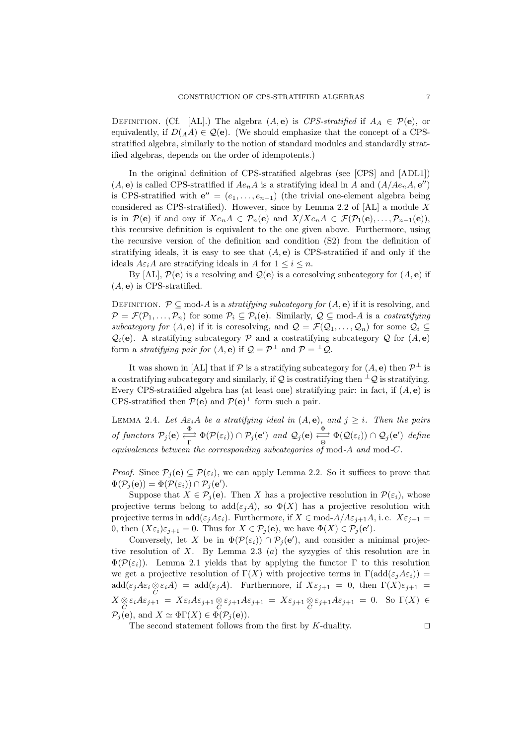DEFINITION. (Cf. [AL].) The algebra  $(A, e)$  is CPS-stratified if  $A_A \in \mathcal{P}(e)$ , or equivalently, if  $D(A) \in \mathcal{Q}(e)$ . (We should emphasize that the concept of a CPSstratified algebra, similarly to the notion of standard modules and standardly stratified algebras, depends on the order of idempotents.)

In the original definition of CPS-stratified algebras (see [CPS] and [ADL1])  $(A, e)$  is called CPS-stratified if  $Ae_nA$  is a stratifying ideal in A and  $(A/Ae_nA, e'')$ is CPS-stratified with  $e'' = (e_1, \ldots, e_{n-1})$  (the trivial one-element algebra being considered as CPS-stratified). However, since by Lemma 2.2 of [AL] a module X is in  $\mathcal{P}(\mathbf{e})$  if and ony if  $Xe_nA \in \mathcal{P}_n(\mathbf{e})$  and  $X/Xe_nA \in \mathcal{F}(\mathcal{P}_1(\mathbf{e}), \ldots, \mathcal{P}_{n-1}(\mathbf{e})),$ this recursive definition is equivalent to the one given above. Furthermore, using the recursive version of the definition and condition (S2) from the definition of stratifying ideals, it is easy to see that  $(A, e)$  is CPS-stratified if and only if the ideals  $A \varepsilon_i A$  are stratifying ideals in A for  $1 \leq i \leq n$ .

By [AL],  $\mathcal{P}(\mathbf{e})$  is a resolving and  $\mathcal{Q}(\mathbf{e})$  is a coresolving subcategory for  $(A, \mathbf{e})$  if  $(A, e)$  is CPS-stratified.

DEFINITION.  $\mathcal{P} \subseteq \text{mod-}A$  is a *stratifying subcategory for*  $(A, e)$  if it is resolving, and  $\mathcal{P} = \mathcal{F}(\mathcal{P}_1, \ldots, \mathcal{P}_n)$  for some  $\mathcal{P}_i \subseteq \mathcal{P}_i(\mathbf{e})$ . Similarly,  $\mathcal{Q} \subseteq \text{mod-}A$  is a costratifying subcategory for  $(A, e)$  if it is coresolving, and  $\mathcal{Q} = \mathcal{F}(\mathcal{Q}_1, \ldots, \mathcal{Q}_n)$  for some  $\mathcal{Q}_i \subseteq$  $\mathcal{Q}_i(\mathbf{e})$ . A stratifying subcategory  $\mathcal P$  and a costratifying subcategory  $\mathcal Q$  for  $(A, \mathbf{e})$ form a *stratifying pair for*  $(A, e)$  if  $\mathcal{Q} = \mathcal{P}^{\perp}$  and  $\mathcal{P} = {}^{\perp} \mathcal{Q}$ .

It was shown in [AL] that if  $P$  is a stratifying subcategory for  $(A, e)$  then  $P^{\perp}$  is a costratifying subcategory and similarly, if Q is costratifying then  $\perp Q$  is stratifying. Every CPS-stratified algebra has (at least one) stratifying pair: in fact, if  $(A, e)$  is CPS-stratified then  $\mathcal{P}(\mathbf{e})$  and  $\mathcal{P}(\mathbf{e})^{\perp}$  form such a pair.

LEMMA 2.4. Let  $A\varepsilon_iA$  be a stratifying ideal in  $(A, e)$ , and  $j \geq i$ . Then the pairs of functors  $\mathcal{P}_j(\mathbf{e}) \stackrel{\Phi}{\leftarrow} \Phi(\mathcal{P}(\varepsilon_i)) \cap \mathcal{P}_j(\mathbf{e}')$  and  $\mathcal{Q}_j(\mathbf{e}) \stackrel{\Phi}{\leftarrow} \Phi(\mathcal{Q}(\varepsilon_i)) \cap \mathcal{Q}_j(\mathbf{e}')$  define equivalences between the corresponding subcategories of mod-A and mod-C.

*Proof.* Since  $P_i(e) \subseteq \mathcal{P}(\varepsilon_i)$ , we can apply Lemma 2.2. So it suffices to prove that  $\Phi(\mathcal{P}_j(\mathbf{e})) = \Phi(\mathcal{P}(\varepsilon_i)) \cap \mathcal{P}_j(\mathbf{e}').$ 

Suppose that  $X \in \mathcal{P}_i(\mathbf{e})$ . Then X has a projective resolution in  $\mathcal{P}(\varepsilon_i)$ , whose projective terms belong to  $add(\varepsilon_i A)$ , so  $\Phi(X)$  has a projective resolution with projective terms in add $(\varepsilon_iA\varepsilon_i)$ . Furthermore, if  $X \in \text{mod-}A/A\varepsilon_{i+1}A$ , i.e.  $X\varepsilon_{i+1} =$ 0, then  $(X\varepsilon_i)\varepsilon_{j+1} = 0$ . Thus for  $X \in \mathcal{P}_j(\mathbf{e})$ , we have  $\Phi(X) \in \mathcal{P}_j(\mathbf{e}')$ .

Conversely, let X be in  $\Phi(\mathcal{P}(\varepsilon_i)) \cap \mathcal{P}_j(e')$ , and consider a minimal projective resolution of X. By Lemma 2.3  $(a)$  the syzygies of this resolution are in  $\Phi(\mathcal{P}(\varepsilon_i))$ . Lemma 2.1 yields that by applying the functor  $\Gamma$  to this resolution we get a projective resolution of  $\Gamma(X)$  with projective terms in  $\Gamma(\text{add}(\varepsilon_j A \varepsilon_i))$  =  $add(\varepsilon_j A\varepsilon_i \otimes \varepsilon_i A) = add(\varepsilon_j A)$ . Furthermore, if  $X\varepsilon_{j+1} = 0$ , then  $\Gamma(X)\varepsilon_{j+1} = 0$  $X \underset{C}{\otimes} \varepsilon_i A \varepsilon_{j+1} = X \varepsilon_i A \varepsilon_{j+1} \underset{C}{\otimes} \varepsilon_{j+1} A \varepsilon_{j+1} = X \varepsilon_{j+1} \underset{C}{\otimes} \varepsilon_{j+1} A \varepsilon_{j+1} = 0.$  So  $\Gamma(X) \in$  $\overline{\mathcal{P}_i(\mathbf{e})}$ , and  $X \simeq \Phi\Gamma(X) \in \Phi(\mathcal{P}_i(\mathbf{e})).$ 

The second statement follows from the first by  $K$ -duality.  $\square$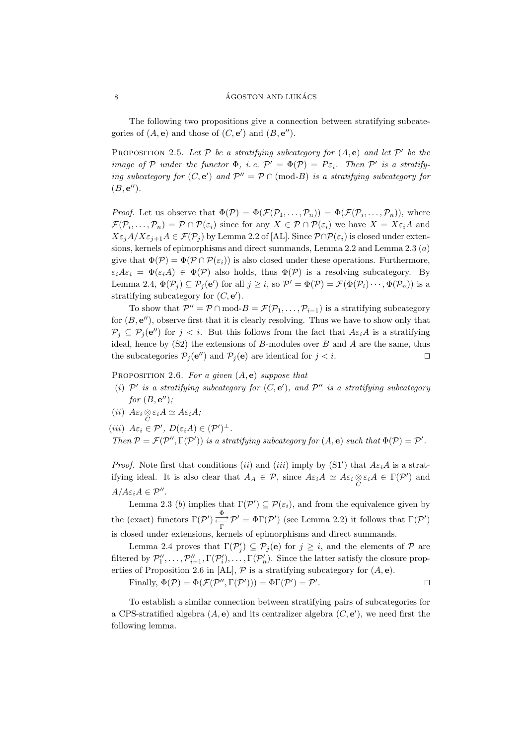The following two propositions give a connection between stratifying subcategories of  $(A, e)$  and those of  $(C, e')$  and  $(B, e'')$ .

PROPOSITION 2.5. Let  $P$  be a stratifying subcategory for  $(A, e)$  and let  $P'$  be the image of P under the functor  $\Phi$ , i.e.  $\mathcal{P}' = \Phi(\mathcal{P}) = P \varepsilon_i$ . Then P' is a stratifying subcategory for  $(C, e')$  and  $\mathcal{P}'' = \mathcal{P} \cap (mod-B)$  is a stratifying subcategory for  $(B, \mathbf{e}^{\prime\prime}).$ 

*Proof.* Let us observe that  $\Phi(\mathcal{P}) = \Phi(\mathcal{F}(\mathcal{P}_1, \ldots, \mathcal{P}_n)) = \Phi(\mathcal{F}(\mathcal{P}_i, \ldots, \mathcal{P}_n))$ , where  $\mathcal{F}(\mathcal{P}_i,\ldots,\mathcal{P}_n)=\mathcal{P}\cap\mathcal{P}(\varepsilon_i)$  since for any  $X\in\mathcal{P}\cap\mathcal{P}(\varepsilon_i)$  we have  $X=X\varepsilon_iA$  and  $X\varepsilon_iA/X\varepsilon_{i+1}A \in \mathcal{F}(\mathcal{P}_i)$  by Lemma 2.2 of [AL]. Since  $\mathcal{P}\cap \mathcal{P}(\varepsilon_i)$  is closed under extensions, kernels of epimorphisms and direct summands, Lemma 2.2 and Lemma 2.3 (a) give that  $\Phi(\mathcal{P}) = \Phi(\mathcal{P} \cap \mathcal{P}(\varepsilon_i))$  is also closed under these operations. Furthermore,  $\varepsilon_i A \varepsilon_i = \Phi(\varepsilon_i A) \in \Phi(\mathcal{P})$  also holds, thus  $\Phi(\mathcal{P})$  is a resolving subcategory. By Lemma 2.4,  $\Phi(\mathcal{P}_j) \subseteq \mathcal{P}_j(e')$  for all  $j \geq i$ , so  $\mathcal{P}' = \Phi(\mathcal{P}) = \mathcal{F}(\Phi(\mathcal{P}_i) \cdots, \Phi(\mathcal{P}_n))$  is a stratifying subcategory for  $(C, e')$ .

To show that  $\mathcal{P}'' = \mathcal{P} \cap \text{mod-}B = \mathcal{F}(\mathcal{P}_1, \ldots, \mathcal{P}_{i-1})$  is a stratifying subcategory for  $(B, e'')$ , observe first that it is clearly resolving. Thus we have to show only that  $\mathcal{P}_j \subseteq \mathcal{P}_j(e'')$  for  $j < i$ . But this follows from the fact that  $A\varepsilon_i A$  is a stratifying ideal, hence by  $(S2)$  the extensions of B-modules over B and A are the same, thus the subcategories  $P_j(e'')$  and  $P_j(e)$  are identical for  $j < i$ .

PROPOSITION 2.6. For a given  $(A, e)$  suppose that

- (i)  $\mathcal{P}'$  is a stratifying subcategory for  $(C, \mathbf{e}')$ , and  $\mathcal{P}''$  is a stratifying subcategory for  $(B, \mathbf{e}^{\prime\prime})$ ;
- (*ii*)  $A\varepsilon_i \underset{C}{\otimes} \varepsilon_i A \simeq A\varepsilon_i A;$
- (iii)  $A\varepsilon_i \in \mathcal{P}'$ ,  $D(\varepsilon_i A) \in (\mathcal{P}')^{\perp}$ . Then  $P = \mathcal{F}(P'', \Gamma(P'))$  is a stratifying subcategory for  $(A, e)$  such that  $\Phi(P) = P'$ .

*Proof.* Note first that conditions (ii) and (iii) imply by  $(S1')$  that  $A\varepsilon_iA$  is a stratifying ideal. It is also clear that  $A_A \in \mathcal{P}$ , since  $A\varepsilon_i A \simeq A\varepsilon_i \otimes \varepsilon_i A \in \Gamma(\mathcal{P}')$  and  $A/A\varepsilon_iA \in \mathcal{P}''$ .

Lemma 2.3 (b) implies that  $\Gamma(\mathcal{P}') \subseteq \mathcal{P}(\varepsilon_i)$ , and from the equivalence given by the (exact) functors  $\Gamma(\mathcal{P}') \xrightarrow[\Gamma]{\Phi} \mathcal{P}' = \Phi \Gamma(\mathcal{P}')$  (see Lemma 2.2) it follows that  $\Gamma(\mathcal{P}')$ is closed under extensions, kernels of epimorphisms and direct summands.

Lemma 2.4 proves that  $\Gamma(\mathcal{P}'_j) \subseteq \mathcal{P}_j(e)$  for  $j \geq i$ , and the elements of  $\mathcal P$  are filtered by  $\mathcal{P}_1'',\ldots,\mathcal{P}_{i-1}'',\Gamma(\mathcal{P}_i'),\ldots,\Gamma(\mathcal{P}_n')$ . Since the latter satisfy the closure properties of Proposition 2.6 in [AL],  $P$  is a stratifying subcategory for  $(A, e)$ .

Finally, 
$$
\Phi(\mathcal{P}) = \Phi(\mathcal{F}(\mathcal{P}'', \Gamma(\mathcal{P}'))) = \Phi(\Gamma(\mathcal{P}') = \mathcal{P}'.
$$

To establish a similar connection between stratifying pairs of subcategories for a CPS-stratified algebra  $(A, e)$  and its centralizer algebra  $(C, e')$ , we need first the following lemma.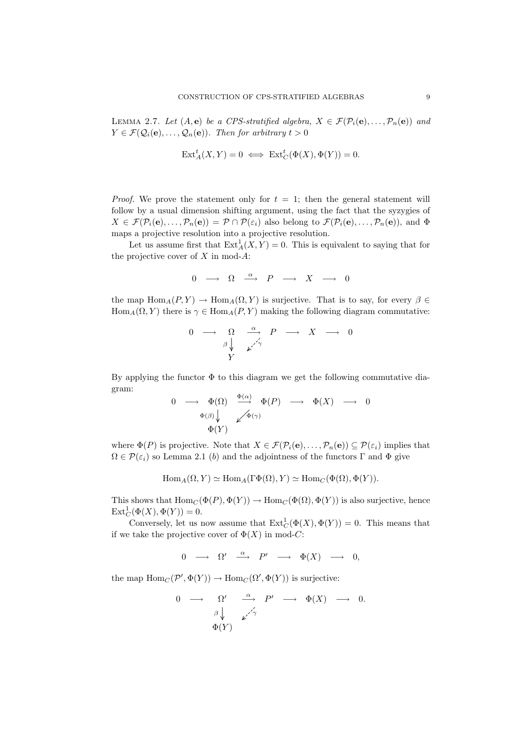LEMMA 2.7. Let  $(A, e)$  be a CPS-stratified algebra,  $X \in \mathcal{F}(\mathcal{P}_i(e), \ldots, \mathcal{P}_n(e))$  and  $Y \in \mathcal{F}(\mathcal{Q}_i(\mathbf{e}), \dots, \mathcal{Q}_n(\mathbf{e}))$ . Then for arbitrary  $t > 0$ 

$$
\operatorname{Ext}^t_A(X,Y) = 0 \iff \operatorname{Ext}^t_C(\Phi(X), \Phi(Y)) = 0.
$$

*Proof.* We prove the statement only for  $t = 1$ ; then the general statement will follow by a usual dimension shifting argument, using the fact that the syzygies of  $X \in \mathcal{F}(\mathcal{P}_i(\mathbf{e}),...,\mathcal{P}_n(\mathbf{e})) = \mathcal{P} \cap \mathcal{P}(\varepsilon_i)$  also belong to  $\mathcal{F}(\mathcal{P}_i(\mathbf{e}),...,\mathcal{P}_n(\mathbf{e}))$ , and  $\Phi$ maps a projective resolution into a projective resolution.

Let us assume first that  $\text{Ext}^1_A(X, Y) = 0$ . This is equivalent to saying that for the projective cover of  $X$  in mod- $A$ :

$$
0\quad\longrightarrow\quad \Omega\quad\stackrel{\alpha}{\longrightarrow}\quad P\quad\longrightarrow\quad X\quad\longrightarrow\quad 0
$$

the map  $\text{Hom}_{A}(P, Y) \to \text{Hom}_{A}(\Omega, Y)$  is surjective. That is to say, for every  $\beta \in$  $\text{Hom}_A(\Omega, Y)$  there is  $\gamma \in \text{Hom}_A(P, Y)$  making the following diagram commutative:

0 −→ Ω <sup>α</sup>−→ P −→ X −→ 0 . . β ............. . . . . . γ Y

By applying the functor  $\Phi$  to this diagram we get the following commutative diagram:

$$
\begin{array}{cccc}\n0 & \longrightarrow & \Phi(\Omega) & \xrightarrow{\Phi(\alpha)} & \Phi(P) & \longrightarrow & \Phi(X) & \longrightarrow & 0 \\
& & \Phi(\beta) & \swarrow^{\Phi(\gamma)} & & \\
& & \Phi(Y)\n\end{array}
$$

where  $\Phi(P)$  is projective. Note that  $X \in \mathcal{F}(\mathcal{P}_i(\mathbf{e}), \dots, \mathcal{P}_n(\mathbf{e})) \subseteq \mathcal{P}(\varepsilon_i)$  implies that  $\Omega \in \mathcal{P}(\varepsilon_i)$  so Lemma 2.1 (b) and the adjointness of the functors  $\Gamma$  and  $\Phi$  give

$$
\operatorname{Hom}_A(\Omega, Y) \simeq \operatorname{Hom}_A(\Gamma \Phi(\Omega), Y) \simeq \operatorname{Hom}_C(\Phi(\Omega), \Phi(Y)).
$$

This shows that  $\text{Hom}_C(\Phi(P), \Phi(Y)) \to \text{Hom}_C(\Phi(\Omega), \Phi(Y))$  is also surjective, hence  $\mathrm{Ext}^1_C(\Phi(X), \Phi(Y)) = 0.$ 

Conversely, let us now assume that  $\text{Ext}^1_C(\Phi(X), \Phi(Y)) = 0$ . This means that if we take the projective cover of  $\Phi(X)$  in mod-C:

$$
0 \quad \longrightarrow \quad \Omega' \quad \xrightarrow{\alpha} \quad P' \quad \longrightarrow \quad \Phi(X) \quad \longrightarrow \quad 0,
$$

the map  $\text{Hom}_C(\mathcal{P}', \Phi(Y)) \to \text{Hom}_C(\Omega', \Phi(Y))$  is surjective:

$$
\begin{array}{ccccccc}\n0 & \longrightarrow & \Omega' & \xrightarrow{\alpha} & P' & \longrightarrow & \Phi(X) & \longrightarrow & 0. \\
& & & \beta \downarrow & & \downarrow^{\gamma'} & & & & \\
& & & \Phi(Y) & & & & & & & \\
\end{array}
$$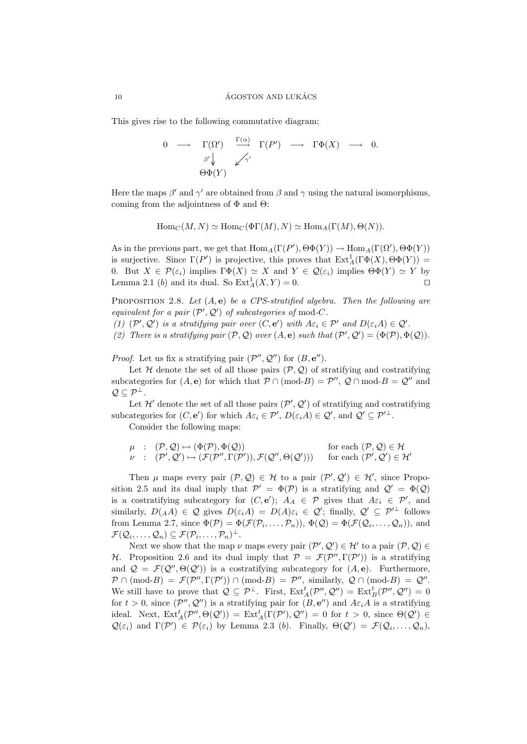This gives rise to the following commutative diagram:

0 −→ Γ(Ω<sup>0</sup> ) Γ(α) −→ Γ(P 0 ) −→ ΓΦ(X) −→ 0. . . β 0 . ............ γ 0 ΘΦ(Y )

Here the maps  $\beta'$  and  $\gamma'$  are obtained from  $\beta$  and  $\gamma$  using the natural isomorphisms, coming from the adjointness of  $\Phi$  and  $\Theta$ :

 $\text{Hom}_C(M, N) \simeq \text{Hom}_C(\Phi\Gamma(M), N) \simeq \text{Hom}_A(\Gamma(M), \Theta(N)).$ 

As in the previous part, we get that  $Hom_A(\Gamma(P'), \Theta \Phi(Y)) \to Hom_A(\Gamma(\Omega'), \Theta \Phi(Y))$ is surjective. Since  $\Gamma(P')$  is projective, this proves that  $\text{Ext}^1_A(\Gamma \Phi(X), \Theta \Phi(Y)) =$ 0. But  $X \in \mathcal{P}(\varepsilon_i)$  implies  $\Gamma \Phi(X) \simeq X$  and  $Y \in \mathcal{Q}(\varepsilon_i)$  implies  $\Theta \Phi(Y) \simeq Y$  by Lemma 2.1 (b) and its dual. So  $\text{Ext}^1_A(X, Y) = 0$ .

PROPOSITION 2.8. Let  $(A, e)$  be a CPS-stratified algebra. Then the following are equivalent for a pair  $(\mathcal{P}', \mathcal{Q}')$  of subcategories of mod-C.

(1)  $(\mathcal{P}', \mathcal{Q}')$  is a stratifying pair over  $(C, \mathbf{e}')$  with  $A\varepsilon_i \in \mathcal{P}'$  and  $D(\varepsilon_i A) \in \mathcal{Q}'$ .

(2) There is a stratifying pair  $(\mathcal{P}, \mathcal{Q})$  over  $(A, e)$  such that  $(\mathcal{P}', \mathcal{Q}') = (\Phi(\mathcal{P}), \Phi(\mathcal{Q})).$ 

*Proof.* Let us fix a stratifying pair  $(\mathcal{P}'', \mathcal{Q}'')$  for  $(B, \mathbf{e}'')$ .

Let H denote the set of all those pairs  $(\mathcal{P}, \mathcal{Q})$  of stratifying and costratifying subcategories for  $(A, e)$  for which that  $P \cap (mod-B) = P''$ ,  $Q \cap mod-B = Q''$  and  $\mathcal{Q} \subset \mathcal{P}^{\perp}$ .

Let  $\mathcal{H}'$  denote the set of all those pairs  $(\mathcal{P}', \mathcal{Q}')$  of stratifying and costratifying subcategories for  $(C, e')$  for which  $A\varepsilon_i \in \mathcal{P}'$ ,  $D(\varepsilon_i A) \in \mathcal{Q}'$ , and  $\mathcal{Q}' \subseteq \mathcal{P}'^{\perp}$ .

Consider the following maps:

$$
\mu : (\mathcal{P}, \mathcal{Q}) \mapsto (\Phi(\mathcal{P}), \Phi(\mathcal{Q})) \quad \text{for each } (\mathcal{P}, \mathcal{Q}) \in \mathcal{H}
$$
  

$$
\nu : (\mathcal{P}', \mathcal{Q}') \mapsto (\mathcal{F}(\mathcal{P}'', \Gamma(\mathcal{P}')), \mathcal{F}(\mathcal{Q}'', \Theta(\mathcal{Q}'))) \quad \text{for each } (\mathcal{P}', \mathcal{Q}') \in \mathcal{H}'
$$

Then  $\mu$  maps every pair  $(\mathcal{P}, \mathcal{Q}) \in \mathcal{H}$  to a pair  $(\mathcal{P}', \mathcal{Q}') \in \mathcal{H}'$ , since Proposition 2.5 and its dual imply that  $\mathcal{P}' = \Phi(\mathcal{P})$  is a stratifying and  $\mathcal{Q}' = \Phi(\mathcal{Q})$ is a costratifying subcategory for  $(C, e')$ ;  $A_A \in \mathcal{P}$  gives that  $A \varepsilon_i \in \mathcal{P}'$ , and similarly,  $D(AA) \in \mathcal{Q}$  gives  $D(\varepsilon_i A) = D(A)\varepsilon_i \in \mathcal{Q}'$ ; finally,  $\mathcal{Q}' \subseteq \mathcal{P}'^{\perp}$  follows from Lemma 2.7, since  $\Phi(\mathcal{P}) = \Phi(\mathcal{F}(\mathcal{P}_i, \ldots, \mathcal{P}_n)), \Phi(\mathcal{Q}) = \Phi(\mathcal{F}(\mathcal{Q}_i, \ldots, \mathcal{Q}_n)),$  and  $\mathcal{F}(\mathcal{Q}_i,\ldots,\mathcal{Q}_n)\subseteq \mathcal{F}(\mathcal{P}_i,\ldots,\mathcal{P}_n)^\perp.$ 

Next we show that the map  $\nu$  maps every pair  $(\mathcal{P}', \mathcal{Q}') \in \mathcal{H}'$  to a pair  $(\mathcal{P}, \mathcal{Q}) \in$ H. Proposition 2.6 and its dual imply that  $P = \mathcal{F}(P'', \Gamma(P'))$  is a stratifying and  $\mathcal{Q} = \mathcal{F}(\mathcal{Q}'', \Theta(\mathcal{Q}'))$  is a costratifying subcategory for  $(A, e)$ . Furthermore,  $\mathcal{P} \cap (\text{mod-}B) = \mathcal{F}(\mathcal{P}'', \Gamma(\mathcal{P}')) \cap (\text{mod-}B) = \mathcal{P}'', \text{ similarly, } \mathcal{Q} \cap (\text{mod-}B) = \mathcal{Q}'''.$ We still have to prove that  $Q \subseteq \mathcal{P}^{\perp}$ . First,  $\text{Ext}_{A}^{t}(\mathcal{P}'', Q'') = \text{Ext}_{B}^{t}(\mathcal{P}'', Q'') = 0$ for  $t > 0$ , since  $(\mathcal{P}'', \mathcal{Q}'')$  is a stratifying pair for  $(B, \mathbf{e}'')$  and  $A \varepsilon_i A$  is a stratifying ideal. Next,  $\text{Ext}^t_A(\mathcal{P}'', \Theta(\mathcal{Q}')) = \text{Ext}^t_A(\Gamma(\mathcal{P}'), \mathcal{Q}'') = 0$  for  $t > 0$ , since  $\Theta(\mathcal{Q}') \in$  $\mathcal{Q}(\varepsilon_i)$  and  $\Gamma(\mathcal{P}') \in \mathcal{P}(\varepsilon_i)$  by Lemma 2.3 (b). Finally,  $\Theta(\mathcal{Q}') = \mathcal{F}(\mathcal{Q}_i, \ldots, \mathcal{Q}_n)$ ,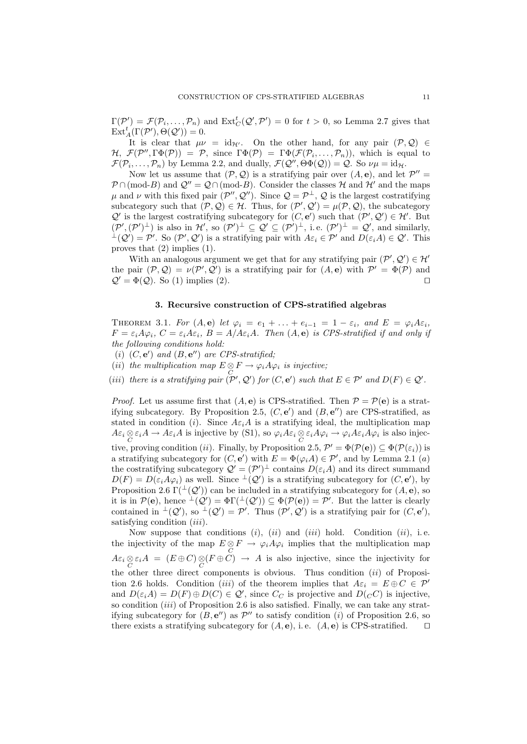$\Gamma(\mathcal{P}') = \mathcal{F}(\mathcal{P}_i, \ldots, \mathcal{P}_n)$  and  $\text{Ext}^t_{\mathcal{C}}(\mathcal{Q}', \mathcal{P}') = 0$  for  $t > 0$ , so Lemma 2.7 gives that  $\text{Ext}_{A}^{t}(\Gamma(\mathcal{P}'), \Theta(\mathcal{Q}')) = 0.$ 

It is clear that  $\mu\nu = id_{\mathcal{H}}$ . On the other hand, for any pair  $(\mathcal{P}, \mathcal{Q}) \in$  $H, \mathcal{F}(\mathcal{P}'', \Gamma \Phi(\mathcal{P})) = \mathcal{P}, \text{ since } \Gamma \Phi(\mathcal{P}) = \Gamma \Phi(\mathcal{F}(\mathcal{P}_i, \dots, \mathcal{P}_n)), \text{ which is equal to }$  $\mathcal{F}(\mathcal{P}_i,\ldots,\mathcal{P}_n)$  by Lemma 2.2, and dually,  $\mathcal{F}(\mathcal{Q}'',\Theta\Phi(\mathcal{Q}))=\mathcal{Q}$ . So  $\nu\mu=\mathrm{id}_{\mathcal{H}}$ .

Now let us assume that  $(\mathcal{P}, \mathcal{Q})$  is a stratifying pair over  $(A, e)$ , and let  $\mathcal{P}'' =$  $\mathcal{P} \cap \pmod{B}$  and  $\mathcal{Q}'' = \mathcal{Q} \cap \pmod{B}$ . Consider the classes H and H' and the maps  $\mu$  and  $\nu$  with this fixed pair  $(\mathcal{P}'', \mathcal{Q}'')$ . Since  $\mathcal{Q} = \mathcal{P}^{\perp}$ ,  $\mathcal{Q}$  is the largest costratifying subcategory such that  $(\mathcal{P}, \mathcal{Q}) \in \mathcal{H}$ . Thus, for  $(\mathcal{P}', \mathcal{Q}') = \mu(\mathcal{P}, \mathcal{Q})$ , the subcategory  $\mathcal{Q}'$  is the largest costratifying subcategory for  $(C, \mathbf{e}')$  such that  $(\mathcal{P}', \mathcal{Q}') \in \mathcal{H}'$ . But  $(\mathcal{P}',(\mathcal{P}')^{\perp})$  is also in  $\mathcal{H}',$  so  $(\mathcal{P}')^{\perp} \subseteq \mathcal{Q}' \subseteq (\mathcal{P}')^{\perp}$ , i.e.  $(\mathcal{P}')^{\perp} = \mathcal{Q}'$ , and similarly,  $\perp(\mathcal{Q}') = \mathcal{P}'$ . So  $(\mathcal{P}', \mathcal{Q}')$  is a stratifying pair with  $A\varepsilon_i \in \mathcal{P}'$  and  $D(\varepsilon_i A) \in \mathcal{Q}'$ . This proves that (2) implies (1).

With an analogous argument we get that for any stratifying pair  $(\mathcal{P}', \mathcal{Q}') \in \mathcal{H}'$ the pair  $(\mathcal{P}, \mathcal{Q}) = \nu(\mathcal{P}', \mathcal{Q}')$  is a stratifying pair for  $(A, e)$  with  $\mathcal{P}' = \Phi(\mathcal{P})$  and  $\mathcal{Q}' = \Phi(\mathcal{Q})$ . So (1) implies (2).

#### 3. Recursive construction of CPS-stratified algebras

THEOREM 3.1. For  $(A, e)$  let  $\varphi_i = e_1 + \ldots + e_{i-1} = 1 - \varepsilon_i$ , and  $E = \varphi_i A \varepsilon_i$ ,  $F = \varepsilon_i A \varphi_i$ ,  $C = \varepsilon_i A \varepsilon_i$ ,  $B = A/A \varepsilon_i A$ . Then  $(A, e)$  is CPS-stratified if and only if the following conditions hold:

- (i)  $(C, \mathbf{e}')$  and  $(B, \mathbf{e}'')$  are CPS-stratified;
- (ii) the multiplication map  $E \underset{C}{\otimes} F \to \varphi_i A \varphi_i$  is injective;
- (iii) there is a stratifying pair  $(\mathcal{P}', \mathcal{Q}')$  for  $(C, \mathbf{e}')$  such that  $E \in \mathcal{P}'$  and  $D(F) \in \mathcal{Q}'$ .

*Proof.* Let us assume first that  $(A, e)$  is CPS-stratified. Then  $P = P(e)$  is a stratifying subcategory. By Proposition 2.5,  $(C, e')$  and  $(B, e'')$  are CPS-stratified, as stated in condition (i). Since  $A\varepsilon_iA$  is a stratifying ideal, the multiplication map  $A\varepsilon_i \otimes \varepsilon_i A \to A\varepsilon_i A$  is injective by (S1), so  $\varphi_i A \varepsilon_i \otimes \varepsilon_i A \varphi_i \to \varphi_i A \varepsilon_i A \varphi_i$  is also injective, proving condition (ii). Finally, by Proposition 2.5,  $\mathcal{P}' = \Phi(\mathcal{P}(e)) \subseteq \Phi(\mathcal{P}(\varepsilon_i))$  is a stratifying subcategory for  $(C, e')$  with  $E = \Phi(\varphi_i A) \in \mathcal{P}'$ , and by Lemma 2.1 (a) the costratifying subcategory  $\mathcal{Q}' = (\mathcal{P}')^{\perp}$  contains  $D(\varepsilon_i A)$  and its direct summand  $D(F) = D(\varepsilon_i A \varphi_i)$  as well. Since  $\perp(\mathcal{Q}')$  is a stratifying subcategory for  $(C, \mathbf{e}')$ , by Proposition 2.6  $\Gamma(\perp (Q'))$  can be included in a stratifying subcategory for  $(A, e)$ , so it is in  $\mathcal{P}(\mathbf{e}),$  hence  $\perp^{\perp}(\mathcal{Q}') = \Phi(\Gamma^{\perp}(\mathcal{Q}')) \subseteq \Phi(\mathcal{P}(\mathbf{e})) = \mathcal{P}'$ . But the latter is clearly contained in  $\perp^{\perp}(\mathcal{Q}')$ , so  $\perp^{\perp}(\mathcal{Q}') = \mathcal{P}'$ . Thus  $(\mathcal{P}', \mathcal{Q}')$  is a stratifying pair for  $(C, \mathbf{e}'),$ satisfying condition *(iii)*.

Now suppose that conditions  $(i)$ ,  $(ii)$  and  $(iii)$  hold. Condition  $(ii)$ , i.e. the injectivity of the map  $E \otimes F \to \varphi_i A \varphi_i$  implies that the multiplication map  $A\varepsilon_i \otimes \varepsilon_i A = (E \oplus C) \otimes (F \oplus C) \rightarrow A$  is also injective, since the injectivity for the other three direct components is obvious. Thus condition  $(ii)$  of Proposition 2.6 holds. Condition (iii) of the theorem implies that  $A\varepsilon_i = E \oplus C \in \mathcal{P}'$ and  $D(\varepsilon_i A) = D(F) \oplus D(C) \in \mathcal{Q}'$ , since  $C_C$  is projective and  $D(C)$  is injective, so condition (iii) of Proposition 2.6 is also satisfied. Finally, we can take any stratifying subcategory for  $(B, e'')$  as  $\mathcal{P}''$  to satisfy condition (i) of Proposition 2.6, so there exists a stratifying subcategory for  $(A, e)$ , i.e.  $(A, e)$  is CPS-stratified.  $\square$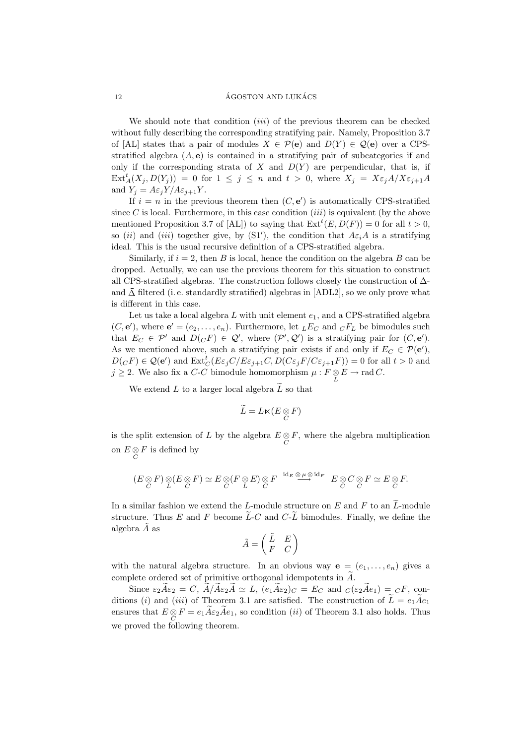## 12 AGOSTON AND LUK ´ ACS ´

We should note that condition  $(iii)$  of the previous theorem can be checked without fully describing the corresponding stratifying pair. Namely, Proposition 3.7 of [AL] states that a pair of modules  $X \in \mathcal{P}(\mathbf{e})$  and  $D(Y) \in \mathcal{Q}(\mathbf{e})$  over a CPSstratified algebra  $(A, e)$  is contained in a stratifying pair of subcategories if and only if the corresponding strata of  $X$  and  $D(Y)$  are perpendicular, that is, if  $\text{Ext}_{A}^{t}(X_{j},D(Y_{j})) = 0$  for  $1 \leq j \leq n$  and  $t > 0$ , where  $X_{j} = X \varepsilon_{j} A/X \varepsilon_{j+1} A$ and  $Y_i = A\varepsilon_i Y/A\varepsilon_{i+1} Y$ .

If  $i = n$  in the previous theorem then  $(C, e')$  is automatically CPS-stratified since C is local. Furthermore, in this case condition  $(iii)$  is equivalent (by the above mentioned Proposition 3.7 of [AL]) to saying that  $\text{Ext}^t(E, D(F)) = 0$  for all  $t > 0$ , so (ii) and (iii) together give, by (S1'), the condition that  $A\varepsilon_iA$  is a stratifying ideal. This is the usual recursive definition of a CPS-stratified algebra.

Similarly, if  $i = 2$ , then B is local, hence the condition on the algebra B can be dropped. Actually, we can use the previous theorem for this situation to construct all CPS-stratified algebras. The construction follows closely the construction of ∆ and  $\bar{\Delta}$  filtered (i.e. standardly stratified) algebras in [ADL2], so we only prove what is different in this case.

Let us take a local algebra L with unit element  $e_1$ , and a CPS-stratified algebra  $(C, \mathbf{e}')$ , where  $\mathbf{e}' = (e_2, \dots, e_n)$ . Furthermore, let  $_L E_C$  and  $_C F_L$  be bimodules such that  $E_C \in \mathcal{P}'$  and  $D(C F) \in \mathcal{Q}'$ , where  $(\mathcal{P}', \mathcal{Q}')$  is a stratifying pair for  $(C, \mathbf{e}')$ . As we mentioned above, such a stratifying pair exists if and only if  $E_C \in \mathcal{P}(e')$ ,  $D({}_C F) \in \mathcal{Q}(e')$  and  $\text{Ext}^t_C(E\varepsilon_j C/E\varepsilon_{j+1}C, D(C\varepsilon_j F/C\varepsilon_{j+1}F)) = 0$  for all  $t > 0$  and  $j \geq 2$ . We also fix a C-C bimodule homomorphism  $\mu : F \underset{L}{\otimes} E \to \text{rad } C$ .

We extend  $L$  to a larger local algebra  $L$  so that

$$
\widetilde{L} = L \ltimes (E \underset{C}{\otimes} F)
$$

is the split extension of L by the algebra  $E \otimes F$ , where the algebra multiplication on  $E \underset{C}{\otimes} F$  is defined by

$$
(E \underset{C}{\otimes} F) \underset{L}{\otimes} (E \underset{C}{\otimes} F) \simeq E \underset{C}{\otimes} (F \underset{L}{\otimes} E) \underset{C}{\otimes} F \xrightarrow{id_E \underset{C}{\otimes} \mu \underset{C}{\otimes} id_F} E \underset{C}{\otimes} C \underset{C}{\otimes} F \simeq E \underset{C}{\otimes} F.
$$

In a similar fashion we extend the L-module structure on E and F to an  $\widetilde{L}$ -module structure. Thus E and F become  $\tilde{L}$ -C and  $C$ - $\tilde{L}$  bimodules. Finally, we define the algebra  $\tilde{A}$  as

$$
\tilde{A}=\begin{pmatrix}\tilde{L}&E\\ F&C\end{pmatrix}
$$

with the natural algebra structure. In an obvious way  $e = (e_1, \ldots, e_n)$  gives a complete ordered set of primitive orthogonal idempotents in  $\widetilde{A}$ .

Since  $\varepsilon_2 \widetilde{A} \varepsilon_2 = C$ ,  $\widetilde{A}/\widetilde{A} \varepsilon_2 \widetilde{A} \simeq L$ ,  $(e_1 \widetilde{A} \varepsilon_2)_C = E_C$  and  $C(\varepsilon_2 \widetilde{A} e_1) = C F$ , conditions (i) and (iii) of Theorem 3.1 are satisfied. The construction of  $\tilde{L} = e_1 \tilde{A} e_1$ ensures that  $E \otimes F = e_1 A \varepsilon_2 A e_1$ , so condition *(ii)* of Theorem 3.1 also holds. Thus we proved the following theorem.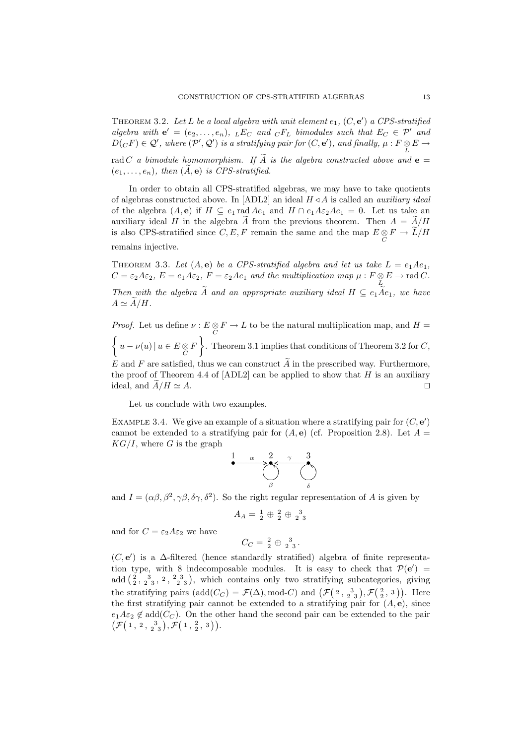THEOREM 3.2. Let L be a local algebra with unit element  $e_1$ ,  $(C, e')$  a CPS-stratified algebra with  $e' = (e_2, \ldots, e_n)$ ,  $E_C$  and  $c F_L$  bimodules such that  $E_C \in \mathcal{P}'$  and  $D(cF) \in \mathcal{Q}'$ , where  $(\mathcal{P}', \mathcal{Q}')$  is a stratifying pair for  $(C, \mathbf{e}'),$  and finally,  $\mu : F \underset{L}{\otimes} E \to$ 

rad C a bimodule homomorphism. If  $\widetilde{A}$  is the algebra constructed above and  $\mathbf{e} =$  $(e_1, \ldots, e_n)$ , then  $(A, e)$  is CPS-stratified.

In order to obtain all CPS-stratified algebras, we may have to take quotients of algebras constructed above. In [ADL2] an ideal  $H \triangleleft A$  is called an *auxiliary ideal* of the algebra  $(A, e)$  if  $H \subseteq e_1$  rad  $Ae_1$  and  $H \cap e_1A\epsilon_2Ae_1 = 0$ . Let us take an auxiliary ideal H in the algebra  $\widetilde{A}$  from the previous theorem. Then  $A = \widetilde{A}/H$ is also CPS-stratified since  $C, E, F$  remain the same and the map  $E \underset{C}{\otimes} F \to L/H$ remains injective.

THEOREM 3.3. Let  $(A, e)$  be a CPS-stratified algebra and let us take  $L = e_1 A e_1$ ,  $C = \varepsilon_2 A \varepsilon_2$ ,  $E = e_1 A \varepsilon_2$ ,  $F = \varepsilon_2 A e_1$  and the multiplication map  $\mu : F \underset{L}{\otimes} E \to \text{rad } C$ . Then with the algebra A and an appropriate auxiliary ideal  $H \subseteq e_1Ae_1$ , we have  $A \simeq \overline{A}/H$ .

*Proof.* Let us define  $\nu : E \otimes F \to L$  to be the natural multiplication map, and  $H =$  $\left\{ u - \nu(u) \, | \, u \in E \underset{C}{\otimes} F \right\}$ . Theorem 3.1 implies that conditions of Theorem 3.2 for  $C$ , E and F are satisfied, thus we can construct  $\widetilde{A}$  in the prescribed way. Furthermore, the proof of Theorem 4.4 of  $[ADL2]$  can be applied to show that  $H$  is an auxiliary ideal, and  $\widetilde{A}/H \simeq A$ .

Let us conclude with two examples.

EXAMPLE 3.4. We give an example of a situation where a stratifying pair for  $(C, e')$ cannot be extended to a stratifying pair for  $(A, e)$  (cf. Proposition 2.8). Let  $A =$  $KG/I$ , where G is the graph

$$
\begin{array}{c}\n1 & \alpha \\
\hline\n\end{array}\n\qquad\n\begin{array}{c}\n2 & \gamma \\
\hline\n\end{array}\n\qquad\n\begin{array}{c}\n3 \\
\hline\n\end{array}
$$

and  $I = (\alpha \beta, \beta^2, \gamma \beta, \delta \gamma, \delta^2)$ . So the right regular representation of A is given by

$$
A_A = \begin{smallmatrix} 1 \\ 2 \end{smallmatrix} \oplus \begin{smallmatrix} 2 \\ 2 \end{smallmatrix} \oplus \begin{smallmatrix} 3 \\ 2 & 3 \end{smallmatrix}
$$

and for  $C = \varepsilon_2 A \varepsilon_2$  we have

$$
C_C = \frac{2}{2} \oplus \frac{3}{2 \cdot 3}.
$$

 $(C, e')$  is a  $\Delta$ -filtered (hence standardly stratified) algebra of finite representation type, with 8 indecomposable modules. It is easy to check that  $\mathcal{P}(e') =$ add  $(\frac{2}{2}, \frac{3}{2}, \frac{2}{3}, \frac{2}{2}, \frac{23}{2})$ , which contains only two stratifying subcategories, giving the stratifying pairs  $(\text{add}(C_C) = \mathcal{F}(\Delta), \text{mod-}C)$  and  $(\mathcal{F}(2, 2^3), \mathcal{F}(2^3, 3))$ . Here the first stratifying pair cannot be extended to a stratifying pair for  $(A, e)$ , since  $e_1A\varepsilon_2 \notin \text{add}(C_C)$ . On the other hand the second pair can be extended to the pair  $\left(\mathcal{F}\left(\begin{smallmatrix}1 & 2 & 3 \\ 2 & 3 & 3\end{smallmatrix}\right), \mathcal{F}\left(\begin{smallmatrix}1 & 2 & 3 \\ 2 & 3 & 3\end{smallmatrix}\right)\right).$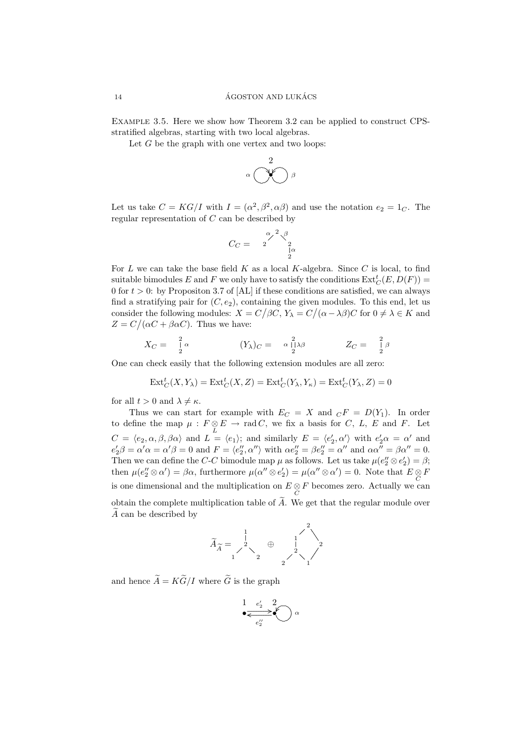Example 3.5. Here we show how Theorem 3.2 can be applied to construct CPSstratified algebras, starting with two local algebras.

Let  $G$  be the graph with one vertex and two loops:

• 2 . ... ...................... . ........................... . ... . . .......................... ... ....................... . . .... α β

Let us take  $C = KG/I$  with  $I = (\alpha^2, \beta^2, \alpha\beta)$  and use the notation  $e_2 = 1_C$ . The regular representation of C can be described by

$$
C_C = \left.\begin{array}{cc} & \alpha \\ 2 & & 2 \\ & & \alpha \\ & & & \alpha \\ & & & 2 \end{array}\right.
$$

For  $L$  we can take the base field  $K$  as a local  $K$ -algebra. Since  $C$  is local, to find suitable bimodules E and F we only have to satisfy the conditions  $\text{Ext}^t_C(E, D(F))$  = 0 for  $t > 0$ : by Propositon 3.7 of [AL] if these conditions are satisfied, we can always find a stratifying pair for  $(C, e_2)$ , containing the given modules. To this end, let us consider the following modules:  $X = C/\beta C$ ,  $Y_{\lambda} = C/(\alpha - \lambda \beta)C$  for  $0 \neq \lambda \in K$  and  $Z = C/(\alpha C + \beta \alpha C)$ . Thus we have:

$$
X_C = \begin{array}{cc} 2 \\ \frac{1}{2} \alpha \end{array} \qquad (Y_\lambda)_C = \begin{array}{cc} 2 \\ \alpha \\ 2 \end{array} \qquad Z_C = \begin{array}{cc} 2 \\ \frac{1}{2} \beta \end{array}
$$

One can check easily that the following extension modules are all zero:

$$
\operatorname{Ext}^t_C(X, Y_\lambda) = \operatorname{Ext}^t_C(X, Z) = \operatorname{Ext}^t_C(Y_\lambda, Y_\kappa) = \operatorname{Ext}^t_C(Y_\lambda, Z) = 0
$$

for all  $t > 0$  and  $\lambda \neq \kappa$ .

Thus we can start for example with  $E_C = X$  and  $_C F = D(Y_1)$ . In order to define the map  $\mu : F \underset{L}{\otimes} E \to \text{rad } C$ , we fix a basis for C, L, E and F. Let  $C = \langle e_2, \alpha, \beta, \beta \alpha \rangle$  and  $L = \langle e_1 \rangle$ ; and similarly  $E = \langle e'_2, \alpha' \rangle$  with  $e'_2 \alpha = \alpha'$  and  $e'_2\beta = \alpha'\alpha = \alpha'\beta = 0$  and  $F = \langle e''_2, \alpha'' \rangle$  with  $\alpha e''_2 = \beta e''_2 = \alpha''$  and  $\alpha \alpha'' = \beta \alpha'' = 0$ . Then we can define the C-C bimodule map  $\mu$  as follows. Let us take  $\mu(e_2'' \otimes e_2') = \beta$ ; then  $\mu(e''_2 \otimes \alpha') = \beta \alpha$ , furthermore  $\mu(\alpha'' \otimes e'_2) = \mu(\alpha'' \otimes \alpha') = 0$ . Note that  $E \underset{C}{\otimes} F$ is one dimensional and the multiplication on  $E \underset{C}{\otimes} F$  becomes zero. Actually we can obtain the complete multiplication table of  $\overline{A}$ . We get that the regular module over  $\overline{A}$  can be described by

$$
\widetilde{A}_{\widetilde{A}} = \begin{pmatrix} 1 & & & & & 2 \\ 1 & & & & & \\ & & 2 & & & \\ & & & 2 & & \\ & & & & 2 & & \\ & & & & 2 & & \\ & & & & 2 & & \\ & & & & & 2 & & \\ & & & & & 2 & & \\ & & & & & & 2 & & \\ \end{pmatrix}
$$

and hence  $\widetilde{A} = K\widetilde{G}/I$  where  $\widetilde{G}$  is the graph

$$
\underset{e_2''}{\underbrace{1\quade_2'}\,}\underset{e_2''}{\underbrace{2}}\bigcirc\alpha
$$